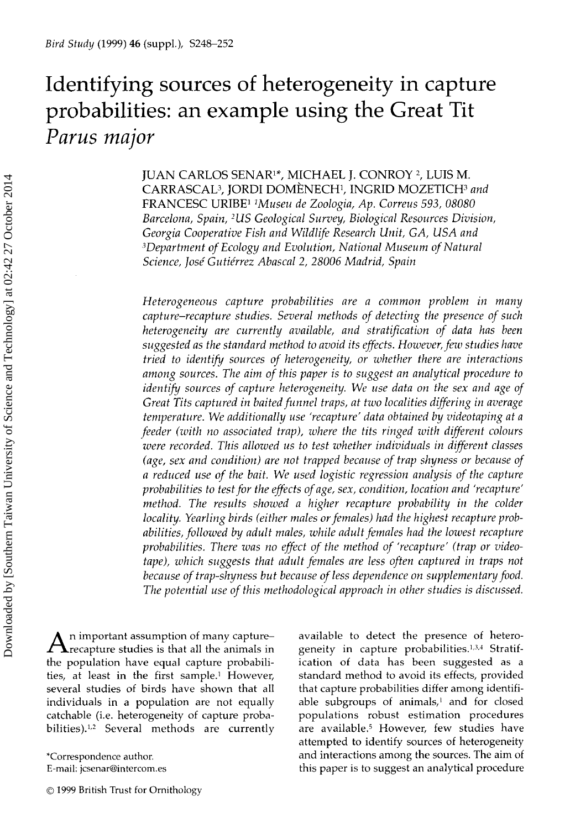# Identifying sources of heterogeneity in capture probabilities: an example using the Great Tit *Parus major*

JUAN CARLOS SENAR<sup>1\*</sup>, MICHAEL J. CONROY<sup>2</sup>, LUIS M. CARRASCAL3, JORDI DOMENECH<sup>1</sup> , INGRID MOZETICH3 *and* FRANCESC URIBE"Museu *de Zoologia, Ap. Correus 593, 08080 Barcelona, Spain, <sup>2</sup> US Geological Survey, Biological Resources Division, Georgia Cooperative Fish and Wildlife Research Unit, GA, USA and 'Department of Ecology and Evolution, National Museum of Natural Science, Jose Gutierrez Abascal 2, 28006 Madrid, Spain*

*Heterogeneous capture probabilities are a common problem in many capture—recapture studies. Several methods of detecting the presence of such heterogeneity are currently available, and stratification of data has been suggested as the standard method to avoid its effects. However, few studies have tried to identify sources of heterogeneity, or whether there are interactions among sources. The aim of this paper is to suggest an analytical procedure to identify sources of capture heterogeneity. We use data on the sex and age of Great Tits captured in baited funnel traps, at two localities differing in average temperature. We additionally use 'recapture' data obtained by videotaping at a feeder (with no associated trap), where the tits ringed with different colours were recorded. This allowed us to test whether individuals in different classes (age, sex and condition) are not trapped because of trap shyness or because of a reduced use of the bait. We used logistic regression analysis of the capture probabilities to test for the effects of age, sex, condition, location and 'recapture' method. The results showed a higher recapture probability in the colder locality. Yearling birds (either males or females) had the highest recapture probabilities, followed by adult males, while adult females had the lowest recapture probabilities. There was no effect of the method of 'recapture' (trap or videotape), which suggests that adult females are less often captured in traps not because of trap-shyness but because of less dependence on supplementary food. The potential use of this methodological approach in other studies is discussed.*

 $A$ n important assumption of many capture-<br>recapture studies is that all the animals in n important assumption of many capture the population have equal capture probabilities, at least in the first sample.' However, several studies of birds have shown that all individuals in a population are not equally catchable (i.e. heterogeneity of capture probabilities).<sup>1,2</sup> Several methods are currently

\*Correspondence author. E-mail: jcsenar@intercom.es

© 1999 British Trust for Ornithology

available to detect the presence of heterogeneity in capture probabilities.<sup>1,3,4</sup> Stratification of data has been suggested as a standard method to avoid its effects, provided that capture probabilities differ among identifiable subgroups of animals,' and for closed populations robust estimation procedures are available.<sup>5</sup> However, few studies have attempted to identify sources of heterogeneity and interactions among the sources. The aim of this paper is to suggest an analytical procedure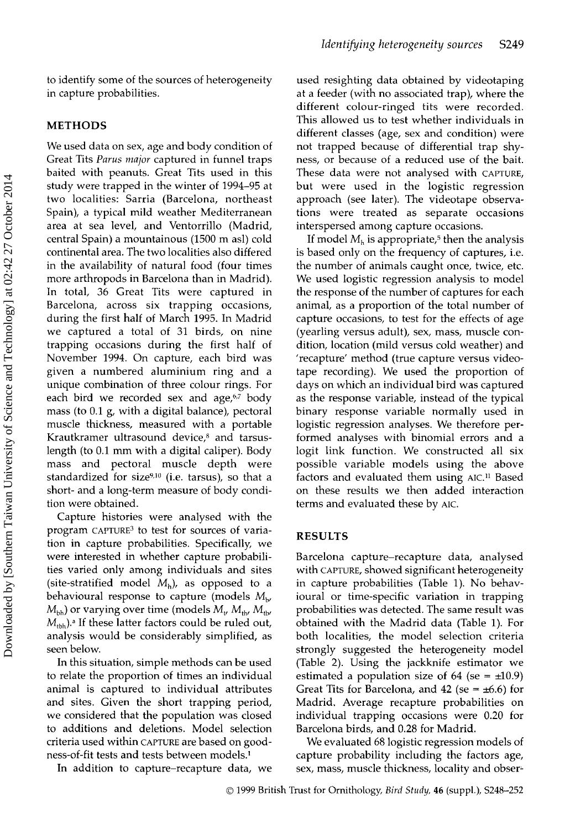#### METHODS

We used data on sex, age and body condition of Great Tits *Parus major* captured in funnel traps baited with peanuts. Great Tits used in this study were trapped in the winter of 1994-95 at two localities: Sarria (Barcelona, northeast Spain), a typical mild weather Mediterranean area at sea level, and Ventorrillo (Madrid, central Spain) a mountainous (1500 m asl) cold continental area. The two localities also differed in the availability of natural food (four times more arthropods in Barcelona than in Madrid). In total, 36 Great Tits were captured in Barcelona, across six trapping occasions, during the first half of March 1995. In Madrid we captured a total of 31 birds, on nine trapping occasions during the first half of November 1994. On capture, each bird was given a numbered aluminium ring and a unique combination of three colour rings. For each bird we recorded sex and age, $67$  body mass (to 0.1 g, with a digital balance), pectoral muscle thickness, measured with a portable Krautkramer ultrasound device,<sup>8</sup> and tarsuslength (to 0.1 mm with a digital caliper). Body mass and pectoral muscle depth were standardized for size $9,10$  (i.e. tarsus), so that a short- and a long-term measure of body condition were obtained.

Capture histories were analysed with the program CAPTURE<sup>3</sup> to test for sources of variation in capture probabilities. Specifically, we were interested in whether capture probabilities varied only among individuals and sites (site-stratified model  $M_h$ ), as opposed to a behavioural response to capture (models  $M_{\rm b}$ ,  $M_{\text{bh}}$ ) or varying over time (models  $M_{\text{t}}$ ,  $M_{\text{th}}$ ,  $M_{\text{th}}$ ,  $M_{\text{th}}$  $M_{\text{thb}}$ ).<sup>a</sup> If these latter factors could be ruled out, analysis would be considerably simplified, as seen below.

In this situation, simple methods can be used to relate the proportion of times an individual animal is captured to individual attributes and sites. Given the short trapping period, we considered that the population was closed to additions and deletions. Model selection criteria used within CAPTURE are based on goodness-of-fit tests and tests between models. <sup>1</sup>

In addition to capture—recapture data, we

used resighting data obtained by videotaping at a feeder (with no associated trap), where the different colour-ringed tits were recorded. This allowed us to test whether individuals in different classes (age, sex and condition) were not trapped because of differential trap shyness, or because of a reduced use of the bait. These data were not analysed with CAPTURE, but were used in the logistic regression approach (see later). The videotape observations were treated as separate occasions interspersed among capture occasions.

If model  $M<sub>h</sub>$  is appropriate,<sup>5</sup> then the analysis is based only on the frequency of captures, i.e. the number of animals caught once, twice, etc. We used logistic regression analysis to model the response of the number of captures for each animal, as a proportion of the total number of capture occasions, to test for the effects of age (yearling versus adult), sex, mass, muscle condition, location (mild versus cold weather) and 'recapture' method (true capture versus videotape recording). We used the proportion of days on which an individual bird was captured as the response variable, instead of the typical binary response variable normally used in logistic regression analyses. We therefore performed analyses with binomial errors and a logit link function. We constructed all six possible variable models using the above factors and evaluated them using AIC.<sup>11</sup> Based on these results we then added interaction terms and evaluated these by AIC.

#### RESULTS

Barcelona capture—recapture data, analysed with CAPTURE, showed significant heterogeneity in capture probabilities (Table 1). No behavioural or time-specific variation in trapping probabilities was detected. The same result was obtained with the Madrid data (Table 1). For both localities, the model selection criteria strongly suggested the heterogeneity model (Table 2). Using the jackknife estimator we estimated a population size of 64 (se =  $\pm$ 10.9) Great Tits for Barcelona, and 42 (se =  $\pm$ 6.6) for Madrid. Average recapture probabilities on individual trapping occasions were 0.20 for Barcelona birds, and 0.28 for Madrid.

We evaluated 68 logistic regression models of capture probability including the factors age, sex, mass, muscle thickness, locality and obser-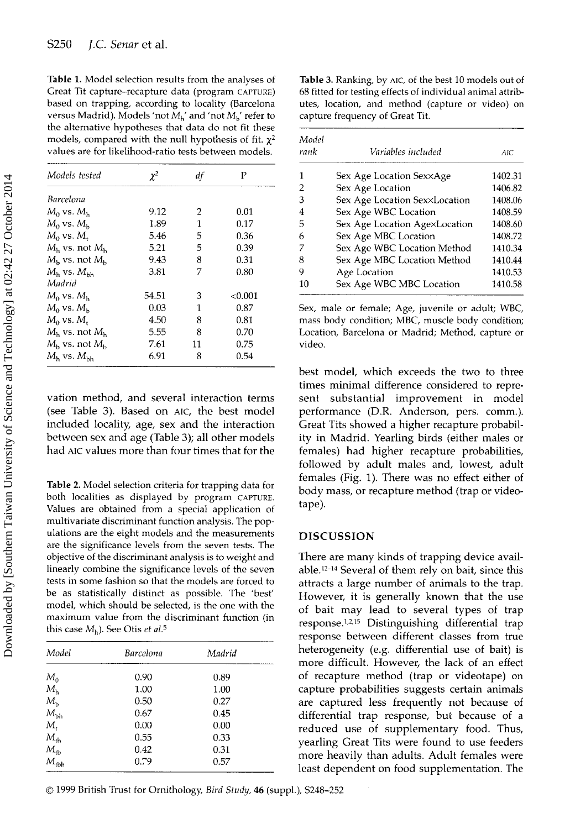Table 1. Model selection results from the analyses of Great Tit capture-recapture data (program CAPTURE) based on trapping, according to locality (Barcelona versus Madrid). Models 'not  $M_{\rm h}$ ' and 'not  $M_{\rm b}$ ' refer to the alternative hypotheses that data do not fit these models, compared with the null hypothesis of fit.  $\chi^2$ values are for likelihood-ratio tests between models.

| Models tested                   | $\chi^2$ | df | P      |
|---------------------------------|----------|----|--------|
| Barcelona                       |          |    |        |
| $M_0$ vs. $M_h$                 | 9.12     | 2  | 0.01   |
| $M_0$ vs. $M_h$                 | 1.89     | 1  | 0.17   |
| $M_0$ vs. $M_*$                 | 5.46     | 5  | 0.36   |
| $Mh$ vs. not $Mh$               | 5.21     | 5  | 0.39   |
| $M_h$ vs. not $M_h$             | 9.43     | 8  | 0.31   |
| $Mb$ vs. $Mbh$                  | 3.81     | 7  | 0.80   |
| Madrid                          |          |    |        |
| $M_0$ vs. $M_h$                 | 54.51    | 3  | <0.001 |
| $M_0$ vs. $M_h$                 | 0.03     | 1  | 0.87   |
| $M_0$ vs. $M_t$                 | 4.50     | 8  | 0.81   |
| $M_h$ vs. not $M_h$             | 5.55     | 8  | 0.70   |
| $M_{\rm h}$ vs. not $M_{\rm h}$ | 7.61     | 11 | 0.75   |
| $Mh$ vs. $Mbh$                  | 6.91     | 8  | 0.54   |

vation method, and several interaction terms (see Table 3). Based on AIC, the best model included locality, age, sex and the interaction between sex and age (Table 3); all other models had AIC values more than four times that for the

Table 2. Model selection criteria for trapping data for both localities as displayed by program CAPTURE. Values are obtained from a special application of multivariate discriminant function analysis. The populations are the eight models and the measurements are the significance levels from the seven tests. The objective of the discriminant analysis is to weight and linearly combine the significance levels of the seven tests in some fashion so that the models are forced to be as statistically distinct as possible. The 'best' model, which should be selected, is the one with the maximum value from the discriminant function (in this case  $M_h$ ). See Otis *et al.*<sup>5</sup>

| Model         | Barcelona | Madrid |  |
|---------------|-----------|--------|--|
| $M_0$         | 0.90      | 0.89   |  |
| $M_{h}$       | 1.00      | 1.00   |  |
| $M_{\rm b}$   | 0.50      | 0.27   |  |
| $M_{bh}$      | 0.67      | 0.45   |  |
| $M_{\rm t}$   | 0.00      | 0.00   |  |
| $M_{th}$      | 0.55      | 0.33   |  |
| $M_{\rm tb}$  | 0.42      | 0.31   |  |
| $M_{\rm tbh}$ | 0.79      | 0.57   |  |

Table 3. Ranking, by AIC, of the best 10 models out of 68 fitted for testing effects of individual animal attributes, location, and method (capture or video) on capture frequency of Great Tit.

| Model<br>rank | Variables included            | AIC.    |
|---------------|-------------------------------|---------|
|               | Sex Age Location Sex×Age      | 1402.31 |
| 2             | Sex Age Location              | 1406.82 |
| З             | Sex Age Location Sex×Location | 1408.06 |
| 4             | Sex Age WBC Location          | 1408.59 |
| 5             | Sex Age Location AgexLocation | 1408.60 |
| 6             | Sex Age MBC Location          | 1408.72 |
|               | Sex Age WBC Location Method   | 1410.34 |
| 8             | Sex Age MBC Location Method   | 1410.44 |
| 9             | Age Location                  | 1410.53 |
| 10            | Sex Age WBC MBC Location      | 1410.58 |

Sex, male or female; Age, juvenile or adult; WBC, mass body condition; MBC, muscle body condition; Location, Barcelona or Madrid; Method, capture or video.

best model, which exceeds the two to three times minimal difference considered to represent substantial improvement in model performance (DR. Anderson, pers. comm.). Great Tits showed a higher recapture probability in Madrid. Yearling birds (either males or females) had higher recapture probabilities, followed by adult males and, lowest, adult females (Fig. 1). There was no effect either of body mass, or recapture method (trap or videotape).

#### DISCUSSION

There are many kinds of trapping device avail $able.<sup>12-14</sup> Several of them rely on bait, since this$ attracts a large number of animals to the trap. However, it is generally known that the use of bait may lead to several types of trap response. 1,2,15 Distinguishing differential trap response between different classes from true heterogeneity (e.g. differential use of bait) is more difficult. However, the lack of an effect of recapture method (trap or videotape) on capture probabilities suggests certain animals are captured less frequently not because of differential trap response, but because of a reduced use of supplementary food. Thus, yearling Great Tits were found to use feeders more heavily than adults. Adult females were least dependent on food supplementation. The

O 1999 British Trust for Ornithology, *Bird Study,* 46 (suppl.), S248-<sup>252</sup>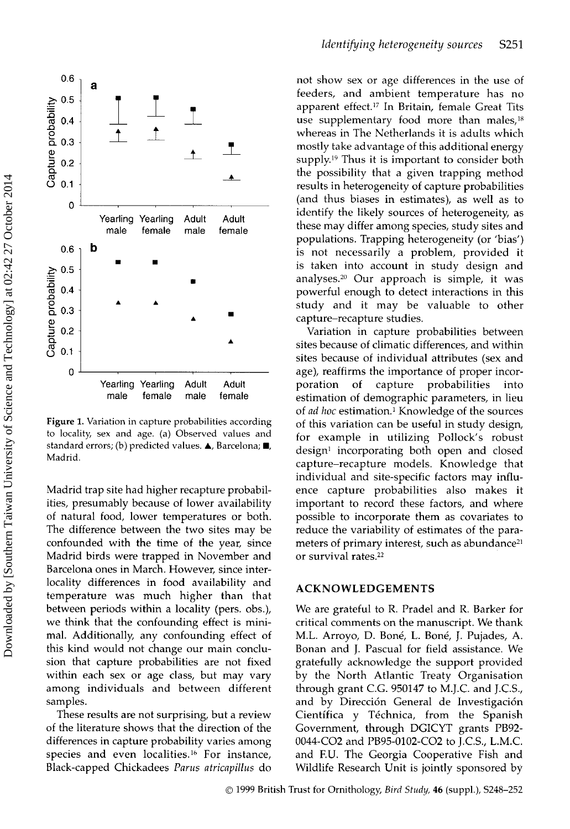



Figure 1. Variation in capture probabilities according to locality, sex and age. (a) Observed values and standard errors; (b) predicted values.  $\blacktriangle$ , Barcelona;  $\blacksquare$ , Madrid.

Madrid trap site had higher recapture probabilities, presumably because of lower availability of natural food, lower temperatures or both. The difference between the two sites may be confounded with the time of the year, since Madrid birds were trapped in November and Barcelona ones in March. However, since interlocality differences in food availability and temperature was much higher than that between periods within a locality (pers. obs.), we think that the confounding effect is minimal. Additionally, any confounding effect of this kind would not change our main conclusion that capture probabilities are not fixed within each sex or age class, but may vary among individuals and between different samples.

These results are not surprising, but a review of the literature shows that the direction of the differences in capture probability varies among species and even localities.<sup>16</sup> For instance, Black-capped Chickadees *Parus atricapillus* do not show sex or age differences in the use of feeders, and ambient temperature has no apparent effect.<sup>17</sup> In Britain, female Great Tits use supplementary food more than males,<sup>18</sup> whereas in The Netherlands it is adults which mostly take advantage of this additional energy supply.<sup>19</sup> Thus it is important to consider both the possibility that a given trapping method results in heterogeneity of capture probabilities (and thus biases in estimates), as well as to identify the likely sources of heterogeneity, as these may differ among species, study sites and populations. Trapping heterogeneity (or 'bias') is not necessarily a problem, provided it is taken into account in study design and analyses. <sup>2</sup>° Our approach is simple, it was powerful enough to detect interactions in this study and it may be valuable to other capture—recapture studies.

Variation in capture probabilities between sites because of climatic differences, and within sites because of individual attributes (sex and age), reaffirms the importance of proper incorporation of capture probabilities into estimation of demographic parameters, in lieu of *ad hoc* estimation.' Knowledge of the sources of this variation can be useful in study design, for example in utilizing Pollock's robust design' incorporating both open and closed capture—recapture models. Knowledge that individual and site-specific factors may influence capture probabilities also makes it important to record these factors, and where possible to incorporate them as covariates to reduce the variability of estimates of the parameters of primary interest, such as abundance<sup>21</sup> or survival rates.<sup>22</sup>

## ACKNOWLEDGEMENTS

We are grateful to R. Pradel and R. Barker for critical comments on the manuscript. We thank M.L. Arroyo, D. Bone, L. Bone, J. Pujades, A. Bonan and J. Pascual for field assistance. We gratefully acknowledge the support provided by the North Atlantic Treaty Organisation through grant C.G. 950147 to M.J.C. and J.C.S., and by Dirección General de Investigación Científica y Téchnica, from the Spanish Government, through DGICYT grants PB92- 0044-0O2 and PB95-0102-0O2 to J.C.S., L.M.C. and F.U. The Georgia Cooperative Fish and Wildlife Research Unit is jointly sponsored by